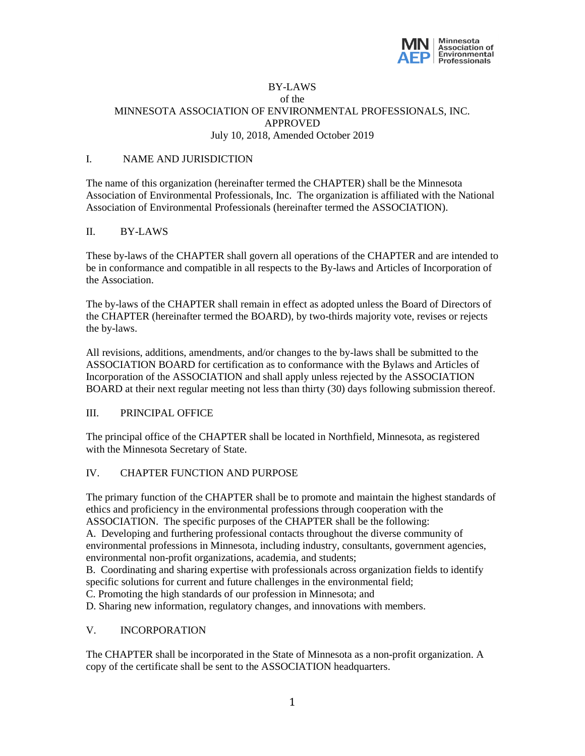

### BY-LAWS of the MINNESOTA ASSOCIATION OF ENVIRONMENTAL PROFESSIONALS, INC. APPROVED July 10, 2018, Amended October 2019

#### I. NAME AND JURISDICTION

The name of this organization (hereinafter termed the CHAPTER) shall be the Minnesota Association of Environmental Professionals, Inc. The organization is affiliated with the National Association of Environmental Professionals (hereinafter termed the ASSOCIATION).

#### II. BY-LAWS

These by-laws of the CHAPTER shall govern all operations of the CHAPTER and are intended to be in conformance and compatible in all respects to the By-laws and Articles of Incorporation of the Association.

The by-laws of the CHAPTER shall remain in effect as adopted unless the Board of Directors of the CHAPTER (hereinafter termed the BOARD), by two-thirds majority vote, revises or rejects the by-laws.

All revisions, additions, amendments, and/or changes to the by-laws shall be submitted to the ASSOCIATION BOARD for certification as to conformance with the Bylaws and Articles of Incorporation of the ASSOCIATION and shall apply unless rejected by the ASSOCIATION BOARD at their next regular meeting not less than thirty (30) days following submission thereof.

#### III. PRINCIPAL OFFICE

The principal office of the CHAPTER shall be located in Northfield, Minnesota, as registered with the Minnesota Secretary of State.

### IV. CHAPTER FUNCTION AND PURPOSE

The primary function of the CHAPTER shall be to promote and maintain the highest standards of ethics and proficiency in the environmental professions through cooperation with the ASSOCIATION. The specific purposes of the CHAPTER shall be the following:

A. Developing and furthering professional contacts throughout the diverse community of environmental professions in Minnesota, including industry, consultants, government agencies, environmental non-profit organizations, academia, and students;

B. Coordinating and sharing expertise with professionals across organization fields to identify specific solutions for current and future challenges in the environmental field;

C. Promoting the high standards of our profession in Minnesota; and

D. Sharing new information, regulatory changes, and innovations with members.

# V. INCORPORATION

The CHAPTER shall be incorporated in the State of Minnesota as a non-profit organization. A copy of the certificate shall be sent to the ASSOCIATION headquarters.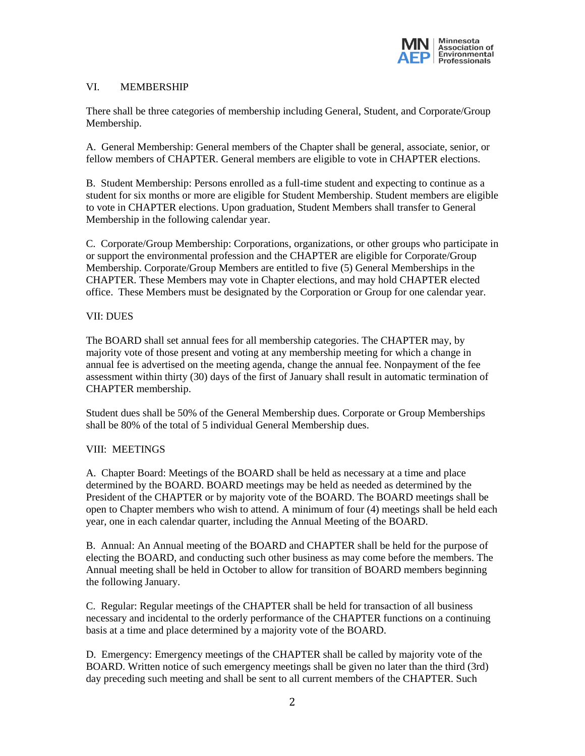

# VI. MEMBERSHIP

There shall be three categories of membership including General, Student, and Corporate/Group Membership.

A. General Membership: General members of the Chapter shall be general, associate, senior, or fellow members of CHAPTER. General members are eligible to vote in CHAPTER elections.

B. Student Membership: Persons enrolled as a full-time student and expecting to continue as a student for six months or more are eligible for Student Membership. Student members are eligible to vote in CHAPTER elections. Upon graduation, Student Members shall transfer to General Membership in the following calendar year.

C. Corporate/Group Membership: Corporations, organizations, or other groups who participate in or support the environmental profession and the CHAPTER are eligible for Corporate/Group Membership. Corporate/Group Members are entitled to five (5) General Memberships in the CHAPTER. These Members may vote in Chapter elections, and may hold CHAPTER elected office. These Members must be designated by the Corporation or Group for one calendar year.

## VII: DUES

The BOARD shall set annual fees for all membership categories. The CHAPTER may, by majority vote of those present and voting at any membership meeting for which a change in annual fee is advertised on the meeting agenda, change the annual fee. Nonpayment of the fee assessment within thirty (30) days of the first of January shall result in automatic termination of CHAPTER membership.

Student dues shall be 50% of the General Membership dues. Corporate or Group Memberships shall be 80% of the total of 5 individual General Membership dues.

# VIII: MEETINGS

A. Chapter Board: Meetings of the BOARD shall be held as necessary at a time and place determined by the BOARD. BOARD meetings may be held as needed as determined by the President of the CHAPTER or by majority vote of the BOARD. The BOARD meetings shall be open to Chapter members who wish to attend. A minimum of four (4) meetings shall be held each year, one in each calendar quarter, including the Annual Meeting of the BOARD.

B. Annual: An Annual meeting of the BOARD and CHAPTER shall be held for the purpose of electing the BOARD, and conducting such other business as may come before the members. The Annual meeting shall be held in October to allow for transition of BOARD members beginning the following January.

C. Regular: Regular meetings of the CHAPTER shall be held for transaction of all business necessary and incidental to the orderly performance of the CHAPTER functions on a continuing basis at a time and place determined by a majority vote of the BOARD.

D. Emergency: Emergency meetings of the CHAPTER shall be called by majority vote of the BOARD. Written notice of such emergency meetings shall be given no later than the third (3rd) day preceding such meeting and shall be sent to all current members of the CHAPTER. Such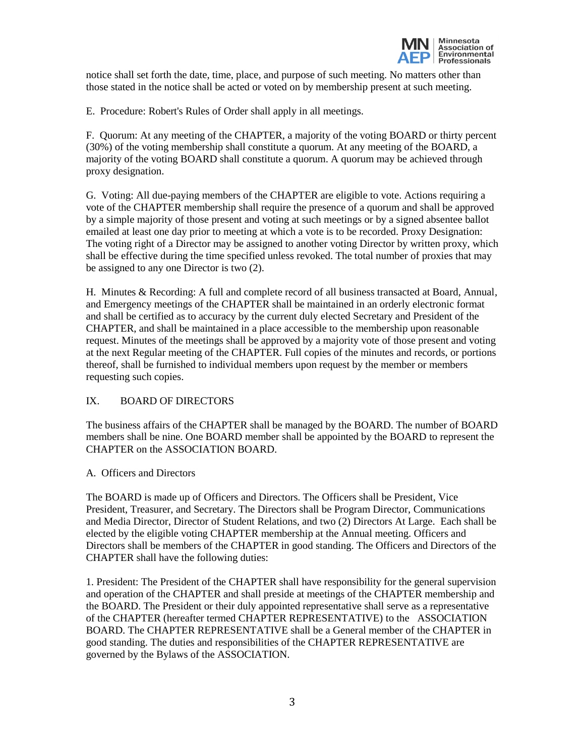

notice shall set forth the date, time, place, and purpose of such meeting. No matters other than those stated in the notice shall be acted or voted on by membership present at such meeting.

E. Procedure: Robert's Rules of Order shall apply in all meetings.

F. Quorum: At any meeting of the CHAPTER, a majority of the voting BOARD or thirty percent (30%) of the voting membership shall constitute a quorum. At any meeting of the BOARD, a majority of the voting BOARD shall constitute a quorum. A quorum may be achieved through proxy designation.

G. Voting: All due-paying members of the CHAPTER are eligible to vote. Actions requiring a vote of the CHAPTER membership shall require the presence of a quorum and shall be approved by a simple majority of those present and voting at such meetings or by a signed absentee ballot emailed at least one day prior to meeting at which a vote is to be recorded. Proxy Designation: The voting right of a Director may be assigned to another voting Director by written proxy, which shall be effective during the time specified unless revoked. The total number of proxies that may be assigned to any one Director is two (2).

H. Minutes & Recording: A full and complete record of all business transacted at Board, Annual, and Emergency meetings of the CHAPTER shall be maintained in an orderly electronic format and shall be certified as to accuracy by the current duly elected Secretary and President of the CHAPTER, and shall be maintained in a place accessible to the membership upon reasonable request. Minutes of the meetings shall be approved by a majority vote of those present and voting at the next Regular meeting of the CHAPTER. Full copies of the minutes and records, or portions thereof, shall be furnished to individual members upon request by the member or members requesting such copies.

### IX. BOARD OF DIRECTORS

The business affairs of the CHAPTER shall be managed by the BOARD. The number of BOARD members shall be nine. One BOARD member shall be appointed by the BOARD to represent the CHAPTER on the ASSOCIATION BOARD.

### A. Officers and Directors

The BOARD is made up of Officers and Directors. The Officers shall be President, Vice President, Treasurer, and Secretary. The Directors shall be Program Director, Communications and Media Director, Director of Student Relations, and two (2) Directors At Large. Each shall be elected by the eligible voting CHAPTER membership at the Annual meeting. Officers and Directors shall be members of the CHAPTER in good standing. The Officers and Directors of the CHAPTER shall have the following duties:

1. President: The President of the CHAPTER shall have responsibility for the general supervision and operation of the CHAPTER and shall preside at meetings of the CHAPTER membership and the BOARD. The President or their duly appointed representative shall serve as a representative of the CHAPTER (hereafter termed CHAPTER REPRESENTATIVE) to the ASSOCIATION BOARD. The CHAPTER REPRESENTATIVE shall be a General member of the CHAPTER in good standing. The duties and responsibilities of the CHAPTER REPRESENTATIVE are governed by the Bylaws of the ASSOCIATION.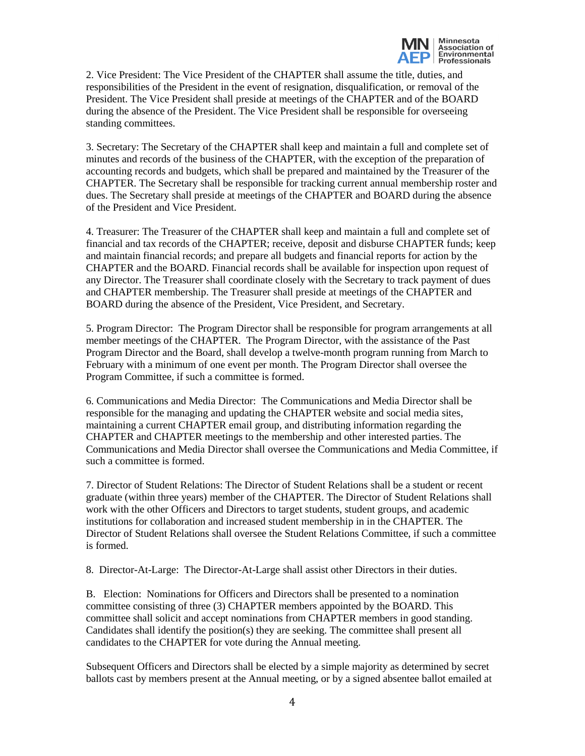

2. Vice President: The Vice President of the CHAPTER shall assume the title, duties, and responsibilities of the President in the event of resignation, disqualification, or removal of the President. The Vice President shall preside at meetings of the CHAPTER and of the BOARD during the absence of the President. The Vice President shall be responsible for overseeing standing committees.

3. Secretary: The Secretary of the CHAPTER shall keep and maintain a full and complete set of minutes and records of the business of the CHAPTER, with the exception of the preparation of accounting records and budgets, which shall be prepared and maintained by the Treasurer of the CHAPTER. The Secretary shall be responsible for tracking current annual membership roster and dues. The Secretary shall preside at meetings of the CHAPTER and BOARD during the absence of the President and Vice President.

4. Treasurer: The Treasurer of the CHAPTER shall keep and maintain a full and complete set of financial and tax records of the CHAPTER; receive, deposit and disburse CHAPTER funds; keep and maintain financial records; and prepare all budgets and financial reports for action by the CHAPTER and the BOARD. Financial records shall be available for inspection upon request of any Director. The Treasurer shall coordinate closely with the Secretary to track payment of dues and CHAPTER membership. The Treasurer shall preside at meetings of the CHAPTER and BOARD during the absence of the President, Vice President, and Secretary.

5. Program Director: The Program Director shall be responsible for program arrangements at all member meetings of the CHAPTER. The Program Director, with the assistance of the Past Program Director and the Board, shall develop a twelve-month program running from March to February with a minimum of one event per month. The Program Director shall oversee the Program Committee, if such a committee is formed.

6. Communications and Media Director: The Communications and Media Director shall be responsible for the managing and updating the CHAPTER website and social media sites, maintaining a current CHAPTER email group, and distributing information regarding the CHAPTER and CHAPTER meetings to the membership and other interested parties. The Communications and Media Director shall oversee the Communications and Media Committee, if such a committee is formed.

7. Director of Student Relations: The Director of Student Relations shall be a student or recent graduate (within three years) member of the CHAPTER. The Director of Student Relations shall work with the other Officers and Directors to target students, student groups, and academic institutions for collaboration and increased student membership in in the CHAPTER. The Director of Student Relations shall oversee the Student Relations Committee, if such a committee is formed.

8. Director-At-Large: The Director-At-Large shall assist other Directors in their duties.

B. Election: Nominations for Officers and Directors shall be presented to a nomination committee consisting of three (3) CHAPTER members appointed by the BOARD. This committee shall solicit and accept nominations from CHAPTER members in good standing. Candidates shall identify the position(s) they are seeking. The committee shall present all candidates to the CHAPTER for vote during the Annual meeting.

Subsequent Officers and Directors shall be elected by a simple majority as determined by secret ballots cast by members present at the Annual meeting, or by a signed absentee ballot emailed at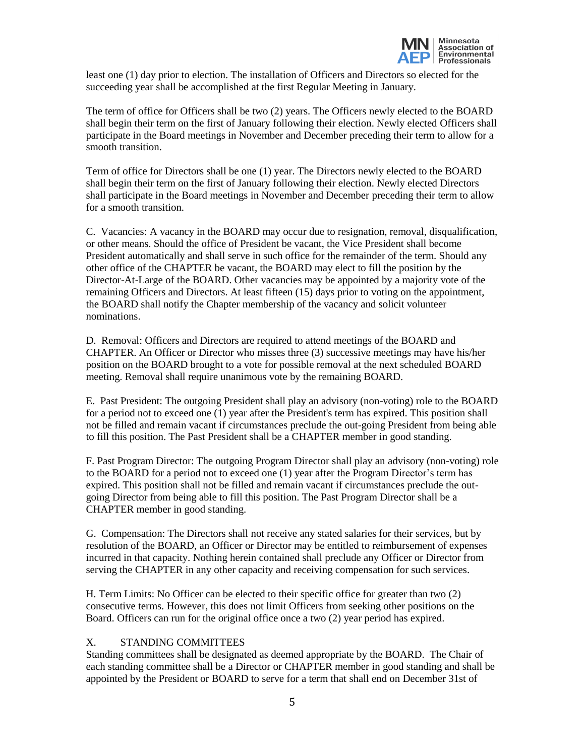

least one (1) day prior to election. The installation of Officers and Directors so elected for the succeeding year shall be accomplished at the first Regular Meeting in January.

The term of office for Officers shall be two (2) years. The Officers newly elected to the BOARD shall begin their term on the first of January following their election. Newly elected Officers shall participate in the Board meetings in November and December preceding their term to allow for a smooth transition.

Term of office for Directors shall be one (1) year. The Directors newly elected to the BOARD shall begin their term on the first of January following their election. Newly elected Directors shall participate in the Board meetings in November and December preceding their term to allow for a smooth transition.

C. Vacancies: A vacancy in the BOARD may occur due to resignation, removal, disqualification, or other means. Should the office of President be vacant, the Vice President shall become President automatically and shall serve in such office for the remainder of the term. Should any other office of the CHAPTER be vacant, the BOARD may elect to fill the position by the Director-At-Large of the BOARD. Other vacancies may be appointed by a majority vote of the remaining Officers and Directors. At least fifteen (15) days prior to voting on the appointment, the BOARD shall notify the Chapter membership of the vacancy and solicit volunteer nominations.

D. Removal: Officers and Directors are required to attend meetings of the BOARD and CHAPTER. An Officer or Director who misses three (3) successive meetings may have his/her position on the BOARD brought to a vote for possible removal at the next scheduled BOARD meeting. Removal shall require unanimous vote by the remaining BOARD.

E. Past President: The outgoing President shall play an advisory (non-voting) role to the BOARD for a period not to exceed one (1) year after the President's term has expired. This position shall not be filled and remain vacant if circumstances preclude the out-going President from being able to fill this position. The Past President shall be a CHAPTER member in good standing.

F. Past Program Director: The outgoing Program Director shall play an advisory (non-voting) role to the BOARD for a period not to exceed one (1) year after the Program Director's term has expired. This position shall not be filled and remain vacant if circumstances preclude the outgoing Director from being able to fill this position. The Past Program Director shall be a CHAPTER member in good standing.

G. Compensation: The Directors shall not receive any stated salaries for their services, but by resolution of the BOARD, an Officer or Director may be entitled to reimbursement of expenses incurred in that capacity. Nothing herein contained shall preclude any Officer or Director from serving the CHAPTER in any other capacity and receiving compensation for such services.

H. Term Limits: No Officer can be elected to their specific office for greater than two (2) consecutive terms. However, this does not limit Officers from seeking other positions on the Board. Officers can run for the original office once a two (2) year period has expired.

### X. STANDING COMMITTEES

Standing committees shall be designated as deemed appropriate by the BOARD. The Chair of each standing committee shall be a Director or CHAPTER member in good standing and shall be appointed by the President or BOARD to serve for a term that shall end on December 31st of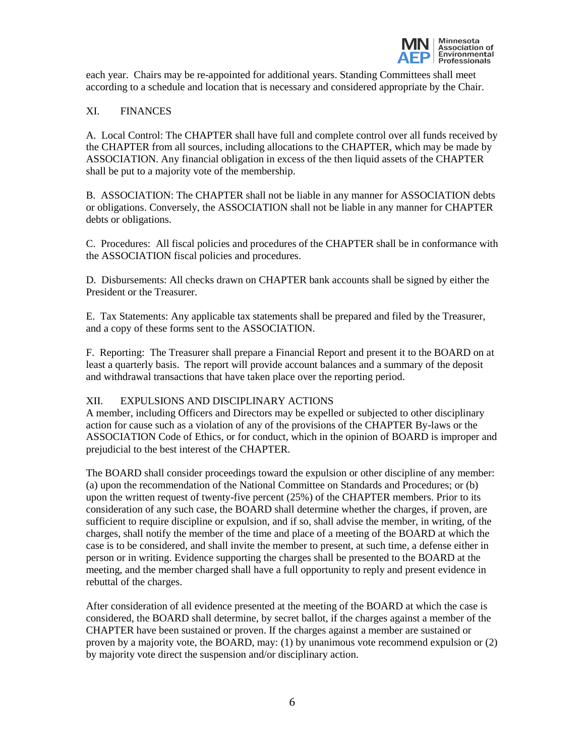

each year. Chairs may be re-appointed for additional years. Standing Committees shall meet according to a schedule and location that is necessary and considered appropriate by the Chair.

# XI. FINANCES

A. Local Control: The CHAPTER shall have full and complete control over all funds received by the CHAPTER from all sources, including allocations to the CHAPTER, which may be made by ASSOCIATION. Any financial obligation in excess of the then liquid assets of the CHAPTER shall be put to a majority vote of the membership.

B. ASSOCIATION: The CHAPTER shall not be liable in any manner for ASSOCIATION debts or obligations. Conversely, the ASSOCIATION shall not be liable in any manner for CHAPTER debts or obligations.

C. Procedures: All fiscal policies and procedures of the CHAPTER shall be in conformance with the ASSOCIATION fiscal policies and procedures.

D. Disbursements: All checks drawn on CHAPTER bank accounts shall be signed by either the President or the Treasurer.

E. Tax Statements: Any applicable tax statements shall be prepared and filed by the Treasurer, and a copy of these forms sent to the ASSOCIATION.

F. Reporting: The Treasurer shall prepare a Financial Report and present it to the BOARD on at least a quarterly basis. The report will provide account balances and a summary of the deposit and withdrawal transactions that have taken place over the reporting period.

### XII. EXPULSIONS AND DISCIPLINARY ACTIONS

A member, including Officers and Directors may be expelled or subjected to other disciplinary action for cause such as a violation of any of the provisions of the CHAPTER By-laws or the ASSOCIATION Code of Ethics, or for conduct, which in the opinion of BOARD is improper and prejudicial to the best interest of the CHAPTER.

The BOARD shall consider proceedings toward the expulsion or other discipline of any member: (a) upon the recommendation of the National Committee on Standards and Procedures; or (b) upon the written request of twenty-five percent (25%) of the CHAPTER members. Prior to its consideration of any such case, the BOARD shall determine whether the charges, if proven, are sufficient to require discipline or expulsion, and if so, shall advise the member, in writing, of the charges, shall notify the member of the time and place of a meeting of the BOARD at which the case is to be considered, and shall invite the member to present, at such time, a defense either in person or in writing. Evidence supporting the charges shall be presented to the BOARD at the meeting, and the member charged shall have a full opportunity to reply and present evidence in rebuttal of the charges.

After consideration of all evidence presented at the meeting of the BOARD at which the case is considered, the BOARD shall determine, by secret ballot, if the charges against a member of the CHAPTER have been sustained or proven. If the charges against a member are sustained or proven by a majority vote, the BOARD, may: (1) by unanimous vote recommend expulsion or (2) by majority vote direct the suspension and/or disciplinary action.